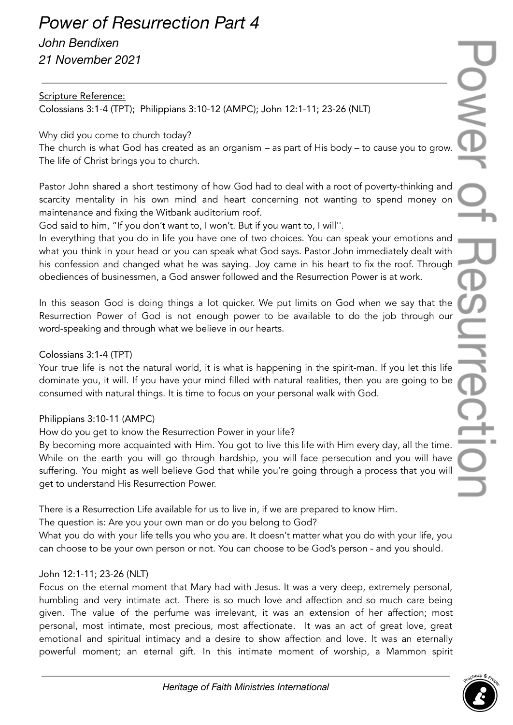# *Power of Resurrection Part 4*

*John Bendixen 21 November 2021*

# Scripture Reference:

Colossians 3:1-4 (TPT); Philippians 3:10-12 (AMPC); John 12:1-11; 23-26 (NLT)

Why did you come to church today?

The church is what God has created as an organism – as part of His body – to cause you to grow. The life of Christ brings you to church.

Pastor John shared a short testimony of how God had to deal with a root of poverty-thinking and scarcity mentality in his own mind and heart concerning not wanting to spend money on maintenance and fixing the Witbank auditorium roof.

God said to him, "If you don't want to, I won't. But if you want to, I will''.

In everything that you do in life you have one of two choices. You can speak your emotions and what you think in your head or you can speak what God says. Pastor John immediately dealt with his confession and changed what he was saying. Joy came in his heart to fix the roof. Through obediences of businessmen, a God answer followed and the Resurrection Power is at work.

In this season God is doing things a lot quicker. We put limits on God when we say that the Resurrection Power of God is not enough power to be available to do the job through our word-speaking and through what we believe in our hearts.

# Colossians 3:1-4 (TPT)

Your true life is not the natural world, it is what is happening in the spirit-man. If you let this life dominate you, it will. If you have your mind filled with natural realities, then you are going to be consumed with natural things. It is time to focus on your personal walk with God.

### Philippians 3:10-11 (AMPC)

How do you get to know the Resurrection Power in your life?

By becoming more acquainted with Him. You got to live this life with Him every day, all the time. While on the earth you will go through hardship, you will face persecution and you will have suffering. You might as well believe God that while you're going through a process that you will get to understand His Resurrection Power.

There is a Resurrection Life available for us to live in, if we are prepared to know Him.

The question is: Are you your own man or do you belong to God?

What you do with your life tells you who you are. It doesn't matter what you do with your life, you can choose to be your own person or not. You can choose to be God's person - and you should.

### John 12:1-11; 23-26 (NLT)

Focus on the eternal moment that Mary had with Jesus. It was a very deep, extremely personal, humbling and very intimate act. There is so much love and affection and so much care being given. The value of the perfume was irrelevant, it was an extension of her affection; most personal, most intimate, most precious, most affectionate. It was an act of great love, great emotional and spiritual intimacy and a desire to show affection and love. It was an eternally powerful moment; an eternal gift. In this intimate moment of worship, a Mammon spirit